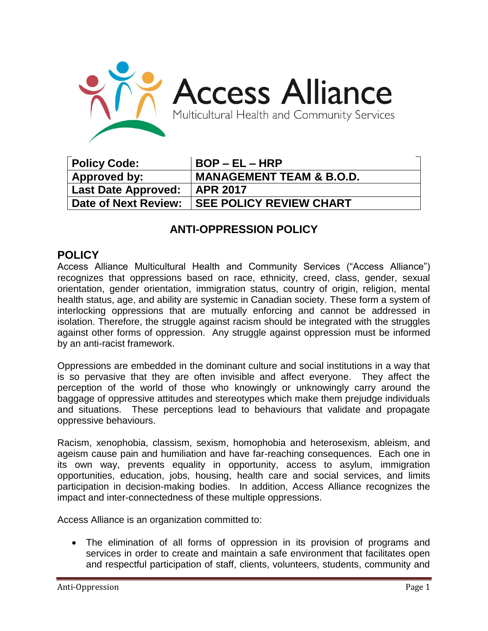

| Policy Code:           | $BOP - EL - HRP$                    |
|------------------------|-------------------------------------|
| ' Approved by:         | <b>MANAGEMENT TEAM &amp; B.O.D.</b> |
| Last Date Approved:    | <b>APR 2017</b>                     |
| ' Date of Next Review: | <b>SEE POLICY REVIEW CHART</b>      |

## **ANTI-OPPRESSION POLICY**

## **POLICY**

Access Alliance Multicultural Health and Community Services ("Access Alliance") recognizes that oppressions based on race, ethnicity, creed, class, gender, sexual orientation, gender orientation, immigration status, country of origin, religion, mental health status, age, and ability are systemic in Canadian society. These form a system of interlocking oppressions that are mutually enforcing and cannot be addressed in isolation. Therefore, the struggle against racism should be integrated with the struggles against other forms of oppression. Any struggle against oppression must be informed by an anti-racist framework.

Oppressions are embedded in the dominant culture and social institutions in a way that is so pervasive that they are often invisible and affect everyone. They affect the perception of the world of those who knowingly or unknowingly carry around the baggage of oppressive attitudes and stereotypes which make them prejudge individuals and situations. These perceptions lead to behaviours that validate and propagate oppressive behaviours.

Racism, xenophobia, classism, sexism, homophobia and heterosexism, ableism, and ageism cause pain and humiliation and have far-reaching consequences. Each one in its own way, prevents equality in opportunity, access to asylum, immigration opportunities, education, jobs, housing, health care and social services, and limits participation in decision-making bodies. In addition, Access Alliance recognizes the impact and inter-connectedness of these multiple oppressions.

Access Alliance is an organization committed to:

 The elimination of all forms of oppression in its provision of programs and services in order to create and maintain a safe environment that facilitates open and respectful participation of staff, clients, volunteers, students, community and